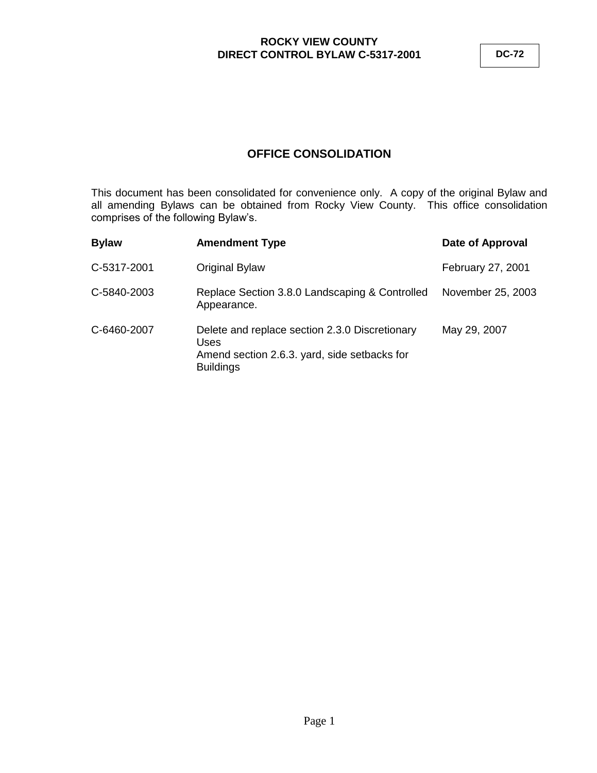**DC-72**

# **OFFICE CONSOLIDATION**

This document has been consolidated for convenience only. A copy of the original Bylaw and all amending Bylaws can be obtained from Rocky View County. This office consolidation comprises of the following Bylaw's.

| <b>Bylaw</b> | <b>Amendment Type</b>                                                                                                      | Date of Approval  |
|--------------|----------------------------------------------------------------------------------------------------------------------------|-------------------|
| C-5317-2001  | Original Bylaw                                                                                                             | February 27, 2001 |
| C-5840-2003  | Replace Section 3.8.0 Landscaping & Controlled<br>Appearance.                                                              | November 25, 2003 |
| C-6460-2007  | Delete and replace section 2.3.0 Discretionary<br>Uses<br>Amend section 2.6.3. yard, side setbacks for<br><b>Buildings</b> | May 29, 2007      |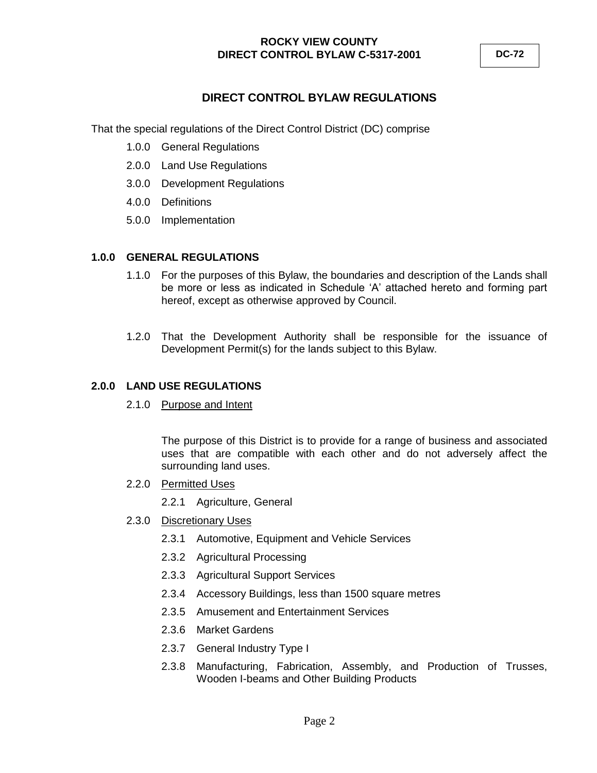# **DIRECT CONTROL BYLAW REGULATIONS**

That the special regulations of the Direct Control District (DC) comprise

- 1.0.0 General Regulations
- 2.0.0 Land Use Regulations
- 3.0.0 Development Regulations
- 4.0.0 Definitions
- 5.0.0 Implementation

### **1.0.0 GENERAL REGULATIONS**

- 1.1.0 For the purposes of this Bylaw, the boundaries and description of the Lands shall be more or less as indicated in Schedule "A" attached hereto and forming part hereof, except as otherwise approved by Council.
- 1.2.0 That the Development Authority shall be responsible for the issuance of Development Permit(s) for the lands subject to this Bylaw.

### **2.0.0 LAND USE REGULATIONS**

2.1.0 Purpose and Intent

The purpose of this District is to provide for a range of business and associated uses that are compatible with each other and do not adversely affect the surrounding land uses.

- 2.2.0 Permitted Uses
	- 2.2.1 Agriculture, General
- 2.3.0 Discretionary Uses
	- 2.3.1 Automotive, Equipment and Vehicle Services
	- 2.3.2 Agricultural Processing
	- 2.3.3 Agricultural Support Services
	- 2.3.4 Accessory Buildings, less than 1500 square metres
	- 2.3.5 Amusement and Entertainment Services
	- 2.3.6 Market Gardens
	- 2.3.7 General Industry Type I
	- 2.3.8 Manufacturing, Fabrication, Assembly, and Production of Trusses, Wooden I-beams and Other Building Products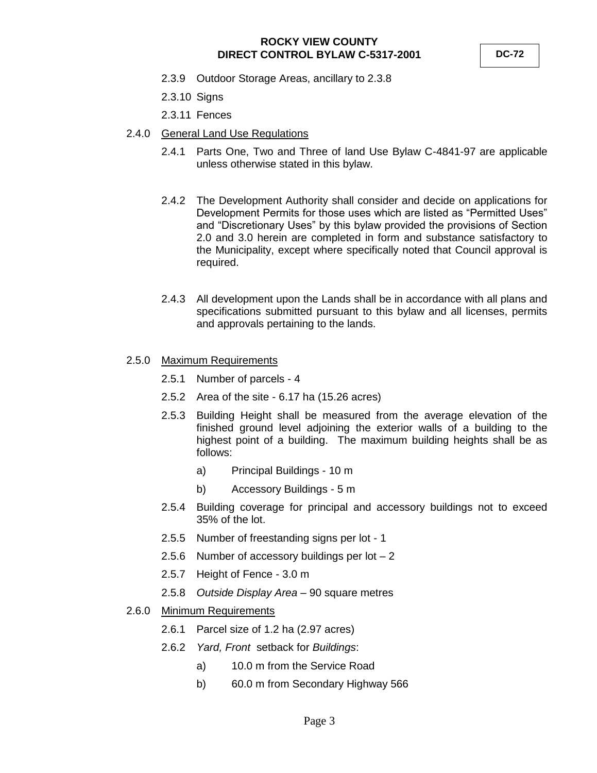**DC-72**

- 2.3.9 Outdoor Storage Areas, ancillary to 2.3.8
- 2.3.10 Signs
- 2.3.11 Fences
- 2.4.0 General Land Use Regulations
	- 2.4.1 Parts One, Two and Three of land Use Bylaw C-4841-97 are applicable unless otherwise stated in this bylaw.
	- 2.4.2 The Development Authority shall consider and decide on applications for Development Permits for those uses which are listed as "Permitted Uses" and "Discretionary Uses" by this bylaw provided the provisions of Section 2.0 and 3.0 herein are completed in form and substance satisfactory to the Municipality, except where specifically noted that Council approval is required.
	- 2.4.3 All development upon the Lands shall be in accordance with all plans and specifications submitted pursuant to this bylaw and all licenses, permits and approvals pertaining to the lands.
- 2.5.0 Maximum Requirements
	- 2.5.1 Number of parcels 4
	- 2.5.2 Area of the site 6.17 ha (15.26 acres)
	- 2.5.3 Building Height shall be measured from the average elevation of the finished ground level adjoining the exterior walls of a building to the highest point of a building. The maximum building heights shall be as follows:
		- a) Principal Buildings 10 m
		- b) Accessory Buildings 5 m
	- 2.5.4 Building coverage for principal and accessory buildings not to exceed 35% of the lot.
	- 2.5.5 Number of freestanding signs per lot 1
	- 2.5.6 Number of accessory buildings per lot 2
	- 2.5.7 Height of Fence 3.0 m
	- 2.5.8 *Outside Display Area* 90 square metres
- 2.6.0 Minimum Requirements
	- 2.6.1 Parcel size of 1.2 ha (2.97 acres)
	- 2.6.2 *Yard, Front* setback for *Buildings*:
		- a) 10.0 m from the Service Road
		- b) 60.0 m from Secondary Highway 566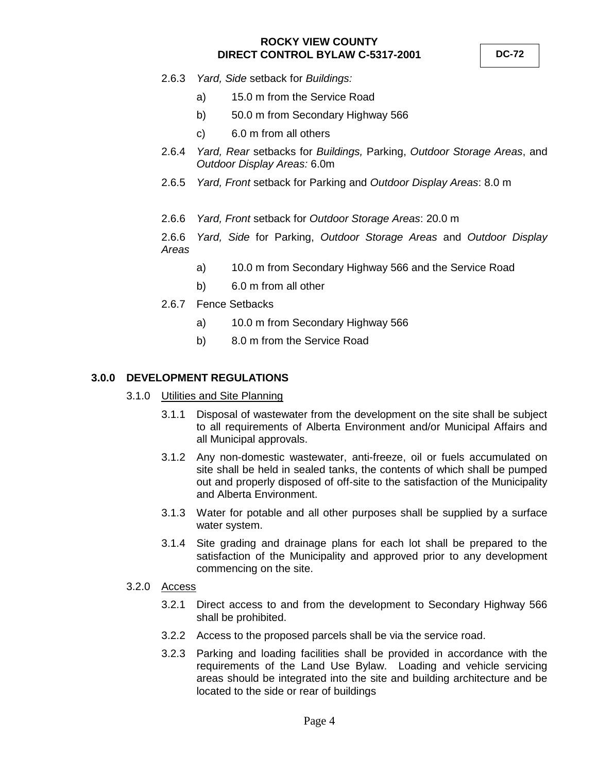- 2.6.3 *Yard, Side* setback for *Buildings:*
	- a) 15.0 m from the Service Road
	- b) 50.0 m from Secondary Highway 566
	- c) 6.0 m from all others
- 2.6.4 *Yard, Rear* setbacks for *Buildings,* Parking, *Outdoor Storage Areas*, and *Outdoor Display Areas:* 6.0m
- 2.6.5 *Yard, Front* setback for Parking and *Outdoor Display Areas*: 8.0 m
- 2.6.6 *Yard, Front* setback for *Outdoor Storage Areas*: 20.0 m

2.6.6 *Yard, Side* for Parking, *Outdoor Storage Areas* and *Outdoor Display Areas*

- a) 10.0 m from Secondary Highway 566 and the Service Road
- b) 6.0 m from all other
- 2.6.7 Fence Setbacks
	- a) 10.0 m from Secondary Highway 566
	- b) 8.0 m from the Service Road

#### **3.0.0 DEVELOPMENT REGULATIONS**

- 3.1.0 Utilities and Site Planning
	- 3.1.1 Disposal of wastewater from the development on the site shall be subject to all requirements of Alberta Environment and/or Municipal Affairs and all Municipal approvals.
	- 3.1.2 Any non-domestic wastewater, anti-freeze, oil or fuels accumulated on site shall be held in sealed tanks, the contents of which shall be pumped out and properly disposed of off-site to the satisfaction of the Municipality and Alberta Environment.
	- 3.1.3 Water for potable and all other purposes shall be supplied by a surface water system.
	- 3.1.4 Site grading and drainage plans for each lot shall be prepared to the satisfaction of the Municipality and approved prior to any development commencing on the site.
- 3.2.0 Access
	- 3.2.1 Direct access to and from the development to Secondary Highway 566 shall be prohibited.
	- 3.2.2 Access to the proposed parcels shall be via the service road.
	- 3.2.3 Parking and loading facilities shall be provided in accordance with the requirements of the Land Use Bylaw. Loading and vehicle servicing areas should be integrated into the site and building architecture and be located to the side or rear of buildings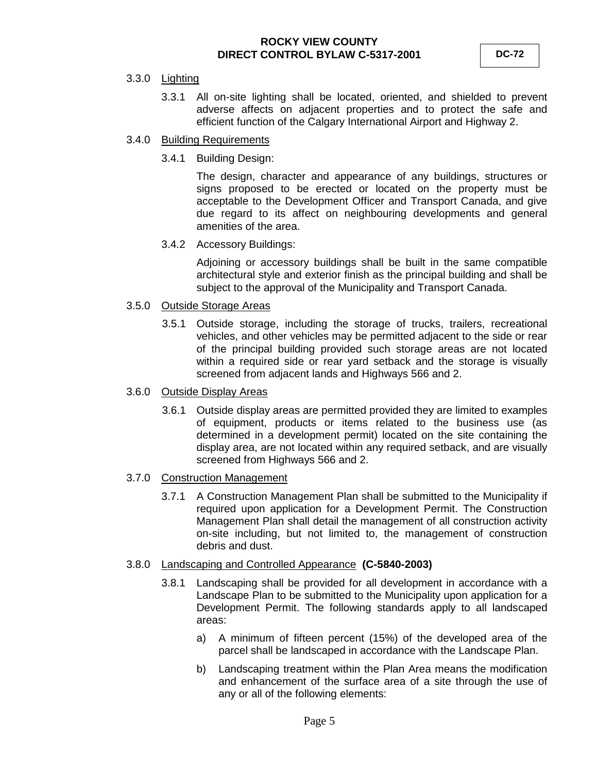#### 3.3.0 Lighting

3.3.1 All on-site lighting shall be located, oriented, and shielded to prevent adverse affects on adjacent properties and to protect the safe and efficient function of the Calgary International Airport and Highway 2.

#### 3.4.0 Building Requirements

3.4.1 Building Design:

The design, character and appearance of any buildings, structures or signs proposed to be erected or located on the property must be acceptable to the Development Officer and Transport Canada, and give due regard to its affect on neighbouring developments and general amenities of the area.

3.4.2 Accessory Buildings:

Adjoining or accessory buildings shall be built in the same compatible architectural style and exterior finish as the principal building and shall be subject to the approval of the Municipality and Transport Canada.

- 3.5.0 Outside Storage Areas
	- 3.5.1 Outside storage, including the storage of trucks, trailers, recreational vehicles, and other vehicles may be permitted adjacent to the side or rear of the principal building provided such storage areas are not located within a required side or rear yard setback and the storage is visually screened from adjacent lands and Highways 566 and 2.

#### 3.6.0 Outside Display Areas

3.6.1 Outside display areas are permitted provided they are limited to examples of equipment, products or items related to the business use (as determined in a development permit) located on the site containing the display area, are not located within any required setback, and are visually screened from Highways 566 and 2.

### 3.7.0 Construction Management

3.7.1 A Construction Management Plan shall be submitted to the Municipality if required upon application for a Development Permit. The Construction Management Plan shall detail the management of all construction activity on-site including, but not limited to, the management of construction debris and dust.

#### 3.8.0 Landscaping and Controlled Appearance **(C-5840-2003)**

- 3.8.1 Landscaping shall be provided for all development in accordance with a Landscape Plan to be submitted to the Municipality upon application for a Development Permit. The following standards apply to all landscaped areas:
	- a) A minimum of fifteen percent (15%) of the developed area of the parcel shall be landscaped in accordance with the Landscape Plan.
	- b) Landscaping treatment within the Plan Area means the modification and enhancement of the surface area of a site through the use of any or all of the following elements: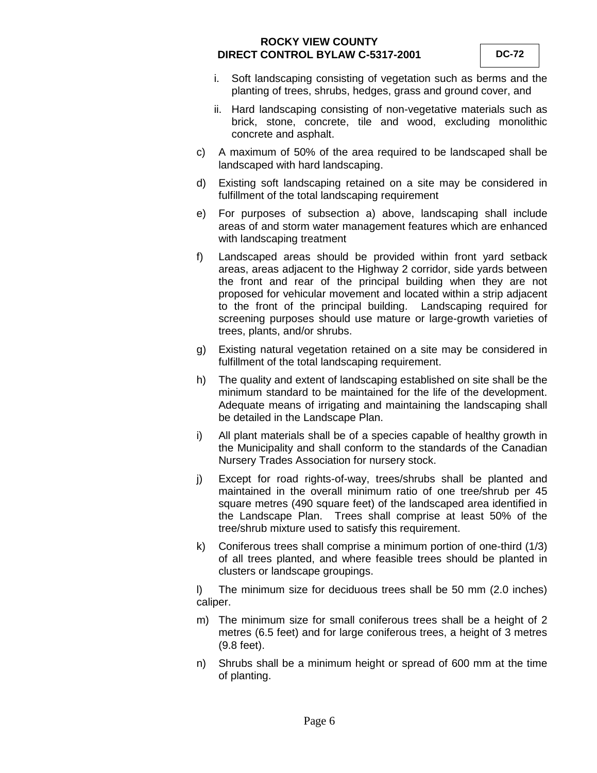- i. Soft landscaping consisting of vegetation such as berms and the planting of trees, shrubs, hedges, grass and ground cover, and
- ii. Hard landscaping consisting of non-vegetative materials such as brick, stone, concrete, tile and wood, excluding monolithic concrete and asphalt.
- c) A maximum of 50% of the area required to be landscaped shall be landscaped with hard landscaping.
- d) Existing soft landscaping retained on a site may be considered in fulfillment of the total landscaping requirement
- e) For purposes of subsection a) above, landscaping shall include areas of and storm water management features which are enhanced with landscaping treatment
- f) Landscaped areas should be provided within front yard setback areas, areas adjacent to the Highway 2 corridor, side yards between the front and rear of the principal building when they are not proposed for vehicular movement and located within a strip adjacent to the front of the principal building. Landscaping required for screening purposes should use mature or large-growth varieties of trees, plants, and/or shrubs.
- g) Existing natural vegetation retained on a site may be considered in fulfillment of the total landscaping requirement.
- h) The quality and extent of landscaping established on site shall be the minimum standard to be maintained for the life of the development. Adequate means of irrigating and maintaining the landscaping shall be detailed in the Landscape Plan.
- i) All plant materials shall be of a species capable of healthy growth in the Municipality and shall conform to the standards of the Canadian Nursery Trades Association for nursery stock.
- j) Except for road rights-of-way, trees/shrubs shall be planted and maintained in the overall minimum ratio of one tree/shrub per 45 square metres (490 square feet) of the landscaped area identified in the Landscape Plan. Trees shall comprise at least 50% of the tree/shrub mixture used to satisfy this requirement.
- k) Coniferous trees shall comprise a minimum portion of one-third (1/3) of all trees planted, and where feasible trees should be planted in clusters or landscape groupings.

l) The minimum size for deciduous trees shall be 50 mm (2.0 inches) caliper.

- m) The minimum size for small coniferous trees shall be a height of 2 metres (6.5 feet) and for large coniferous trees, a height of 3 metres (9.8 feet).
- n) Shrubs shall be a minimum height or spread of 600 mm at the time of planting.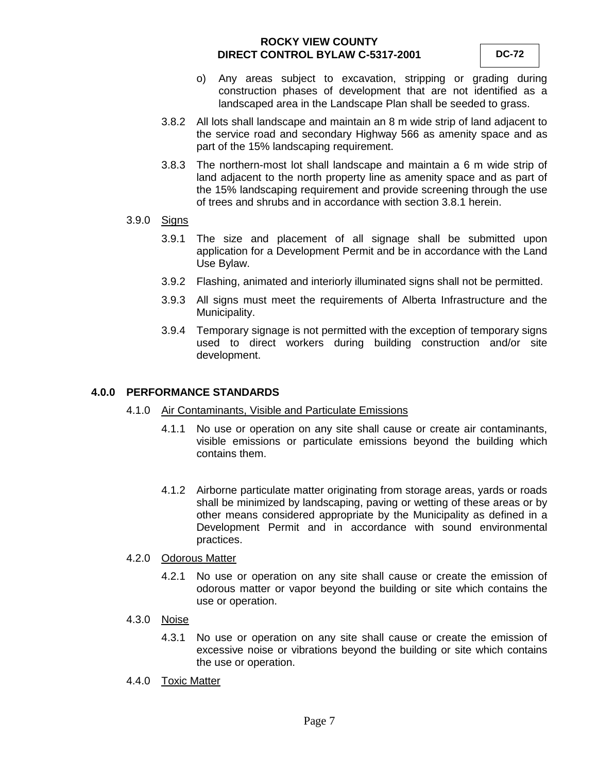- o) Any areas subject to excavation, stripping or grading during construction phases of development that are not identified as a landscaped area in the Landscape Plan shall be seeded to grass.
- 3.8.2 All lots shall landscape and maintain an 8 m wide strip of land adjacent to the service road and secondary Highway 566 as amenity space and as part of the 15% landscaping requirement.
- 3.8.3 The northern-most lot shall landscape and maintain a 6 m wide strip of land adjacent to the north property line as amenity space and as part of the 15% landscaping requirement and provide screening through the use of trees and shrubs and in accordance with section 3.8.1 herein.
- 3.9.0 Signs
	- 3.9.1 The size and placement of all signage shall be submitted upon application for a Development Permit and be in accordance with the Land Use Bylaw.
	- 3.9.2 Flashing, animated and interiorly illuminated signs shall not be permitted.
	- 3.9.3 All signs must meet the requirements of Alberta Infrastructure and the Municipality.
	- 3.9.4 Temporary signage is not permitted with the exception of temporary signs used to direct workers during building construction and/or site development.

#### **4.0.0 PERFORMANCE STANDARDS**

- 4.1.0 Air Contaminants, Visible and Particulate Emissions
	- 4.1.1 No use or operation on any site shall cause or create air contaminants, visible emissions or particulate emissions beyond the building which contains them.
	- 4.1.2 Airborne particulate matter originating from storage areas, yards or roads shall be minimized by landscaping, paving or wetting of these areas or by other means considered appropriate by the Municipality as defined in a Development Permit and in accordance with sound environmental practices.

#### 4.2.0 Odorous Matter

- 4.2.1 No use or operation on any site shall cause or create the emission of odorous matter or vapor beyond the building or site which contains the use or operation.
- 4.3.0 Noise
	- 4.3.1 No use or operation on any site shall cause or create the emission of excessive noise or vibrations beyond the building or site which contains the use or operation.
- 4.4.0 Toxic Matter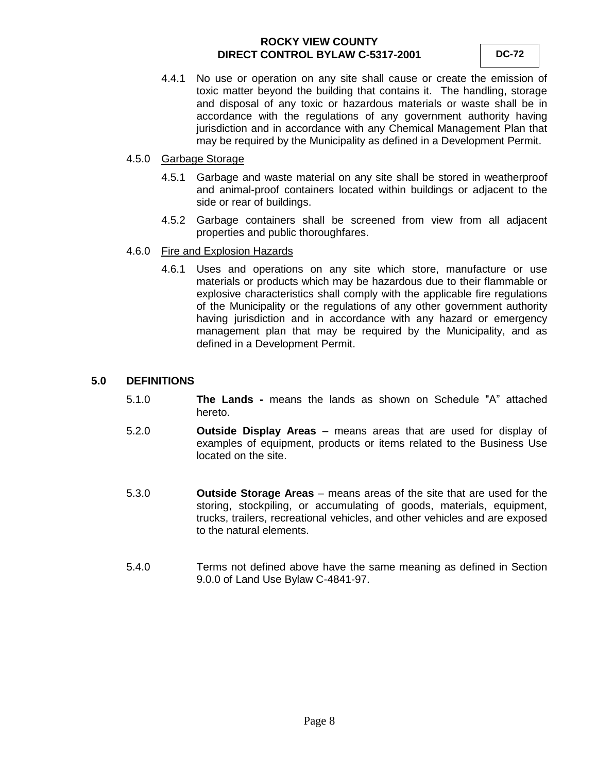4.4.1 No use or operation on any site shall cause or create the emission of toxic matter beyond the building that contains it. The handling, storage and disposal of any toxic or hazardous materials or waste shall be in accordance with the regulations of any government authority having jurisdiction and in accordance with any Chemical Management Plan that may be required by the Municipality as defined in a Development Permit.

#### 4.5.0 Garbage Storage

- 4.5.1 Garbage and waste material on any site shall be stored in weatherproof and animal-proof containers located within buildings or adjacent to the side or rear of buildings.
- 4.5.2 Garbage containers shall be screened from view from all adjacent properties and public thoroughfares.

#### 4.6.0 Fire and Explosion Hazards

4.6.1 Uses and operations on any site which store, manufacture or use materials or products which may be hazardous due to their flammable or explosive characteristics shall comply with the applicable fire regulations of the Municipality or the regulations of any other government authority having jurisdiction and in accordance with any hazard or emergency management plan that may be required by the Municipality, and as defined in a Development Permit.

#### **5.0 DEFINITIONS**

- 5.1.0 **The Lands -** means the lands as shown on Schedule "A" attached hereto.
- 5.2.0 **Outside Display Areas** means areas that are used for display of examples of equipment, products or items related to the Business Use located on the site.
- 5.3.0 **Outside Storage Areas** means areas of the site that are used for the storing, stockpiling, or accumulating of goods, materials, equipment, trucks, trailers, recreational vehicles, and other vehicles and are exposed to the natural elements.
- 5.4.0 Terms not defined above have the same meaning as defined in Section 9.0.0 of Land Use Bylaw C-4841-97.